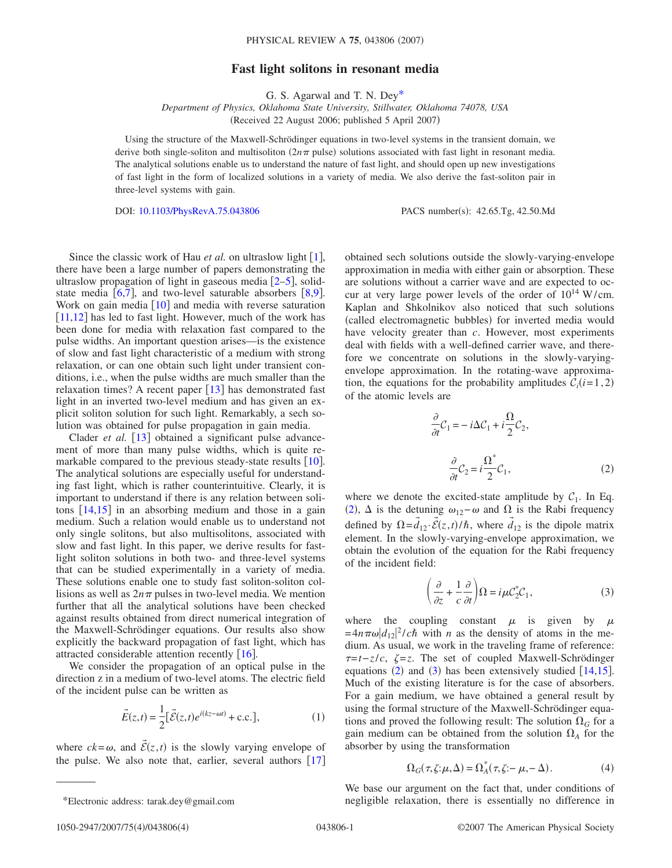## **Fast light solitons in resonant media**

G. S. Agarwal and T. N. De[y\\*](#page-0-0)

*Department of Physics, Oklahoma State University, Stillwater, Oklahoma 74078, USA* (Received 22 August 2006; published 5 April 2007)

Using the structure of the Maxwell-Schrödinger equations in two-level systems in the transient domain, we derive both single-soliton and multisoliton  $(2n\pi)$  pulse) solutions associated with fast light in resonant media. The analytical solutions enable us to understand the nature of fast light, and should open up new investigations of fast light in the form of localized solutions in a variety of media. We also derive the fast-soliton pair in three-level systems with gain.

DOI: [10.1103/PhysRevA.75.043806](http://dx.doi.org/10.1103/PhysRevA.75.043806)

PACS number(s): 42.65.Tg, 42.50.Md

Since the classic work of Hau *et al.* on ultraslow light  $[1]$  $[1]$  $[1]$ , there have been a large number of papers demonstrating the ultraslow propagation of light in gaseous media  $[2-5]$  $[2-5]$  $[2-5]$ , solidstate media  $[6,7]$  $[6,7]$  $[6,7]$  $[6,7]$ , and two-level saturable absorbers  $[8,9]$  $[8,9]$  $[8,9]$  $[8,9]$ . Work on gain media  $[10]$  $[10]$  $[10]$  and media with reverse saturation  $[11,12]$  $[11,12]$  $[11,12]$  $[11,12]$  has led to fast light. However, much of the work has been done for media with relaxation fast compared to the pulse widths. An important question arises—is the existence of slow and fast light characteristic of a medium with strong relaxation, or can one obtain such light under transient conditions, i.e., when the pulse widths are much smaller than the relaxation times? A recent paper  $\left[13\right]$  $\left[13\right]$  $\left[13\right]$  has demonstrated fast light in an inverted two-level medium and has given an explicit soliton solution for such light. Remarkably, a sech solution was obtained for pulse propagation in gain media.

Clader *et al.* [[13](#page-3-10)] obtained a significant pulse advancement of more than many pulse widths, which is quite remarkable compared to the previous steady-state results  $[10]$  $[10]$  $[10]$ . The analytical solutions are especially useful for understanding fast light, which is rather counterintuitive. Clearly, it is important to understand if there is any relation between solitons  $\lceil 14, 15 \rceil$  $\lceil 14, 15 \rceil$  $\lceil 14, 15 \rceil$  $\lceil 14, 15 \rceil$  $\lceil 14, 15 \rceil$  in an absorbing medium and those in a gain medium. Such a relation would enable us to understand not only single solitons, but also multisolitons, associated with slow and fast light. In this paper, we derive results for fastlight soliton solutions in both two- and three-level systems that can be studied experimentally in a variety of media. These solutions enable one to study fast soliton-soliton collisions as well as  $2n\pi$  pulses in two-level media. We mention further that all the analytical solutions have been checked against results obtained from direct numerical integration of the Maxwell-Schrödinger equations. Our results also show explicitly the backward propagation of fast light, which has attracted considerable attention recently  $\lceil 16 \rceil$  $\lceil 16 \rceil$  $\lceil 16 \rceil$ .

We consider the propagation of an optical pulse in the direction z in a medium of two-level atoms. The electric field of the incident pulse can be written as

$$
\vec{E}(z,t) = \frac{1}{2} [\vec{\mathcal{E}}(z,t)e^{i(kz-\omega t)} + \text{c.c.}],
$$
 (1)

where  $ck = \omega$ , and  $\vec{\mathcal{E}}(z, t)$  is the slowly varying envelope of the pulse. We also note that, earlier, several authors  $\lceil 17 \rceil$  $\lceil 17 \rceil$  $\lceil 17 \rceil$  obtained sech solutions outside the slowly-varying-envelope approximation in media with either gain or absorption. These are solutions without a carrier wave and are expected to occur at very large power levels of the order of  $10^{14}$  W/cm. Kaplan and Shkolnikov also noticed that such solutions (called electromagnetic bubbles) for inverted media would have velocity greater than *c*. However, most experiments deal with fields with a well-defined carrier wave, and therefore we concentrate on solutions in the slowly-varyingenvelope approximation. In the rotating-wave approximation, the equations for the probability amplitudes  $C_i(i=1,2)$ of the atomic levels are

$$
\frac{\partial}{\partial t}C_1 = -i\Delta C_1 + i\frac{\Omega}{2}C_2,
$$
  

$$
\frac{\partial}{\partial t}C_2 = i\frac{\Omega^*}{2}C_1,
$$
 (2)

<span id="page-0-1"></span>where we denote the excited-state amplitude by  $C_1$ . In Eq. ([2](#page-0-1)),  $\Delta$  is the detuning  $\omega_{12} - \omega$  and  $\Omega$  is the Rabi frequency defined by  $\Omega = \vec{d}_{12} \cdot \vec{\mathcal{E}}(z, t) / \hbar$ , where  $\vec{d}_{12}$  is the dipole matrix element. In the slowly-varying-envelope approximation, we obtain the evolution of the equation for the Rabi frequency of the incident field:

$$
\left(\frac{\partial}{\partial z} + \frac{1}{c} \frac{\partial}{\partial t}\right) \Omega = i\mu C_2^* C_1,\tag{3}
$$

<span id="page-0-2"></span>where the coupling constant  $\mu$  is given by  $\mu$  $=4n\pi\omega|d_{12}|^2/c\hbar$  with *n* as the density of atoms in the medium. As usual, we work in the traveling frame of reference: *τ*=*t*−*z*/*c*,  $\zeta$ =*z*. The set of coupled Maxwell-Schrödinger equations  $(2)$  $(2)$  $(2)$  and  $(3)$  $(3)$  $(3)$  has been extensively studied [[14,](#page-3-11)[15](#page-3-12)]. Much of the existing literature is for the case of absorbers. For a gain medium, we have obtained a general result by using the formal structure of the Maxwell-Schrödinger equations and proved the following result: The solution  $\Omega$ <sup>G</sup> for a gain medium can be obtained from the solution  $\Omega_A$  for the absorber by using the transformation

<span id="page-0-3"></span>
$$
\Omega_G(\tau, \zeta; \mu, \Delta) = \Omega_A^*(\tau, \zeta; -\mu, -\Delta). \tag{4}
$$

<span id="page-0-0"></span>We base our argument on the fact that, under conditions of \*Electronic address: tarak.dey@gmail.com negligible relaxation, there is essentially no difference in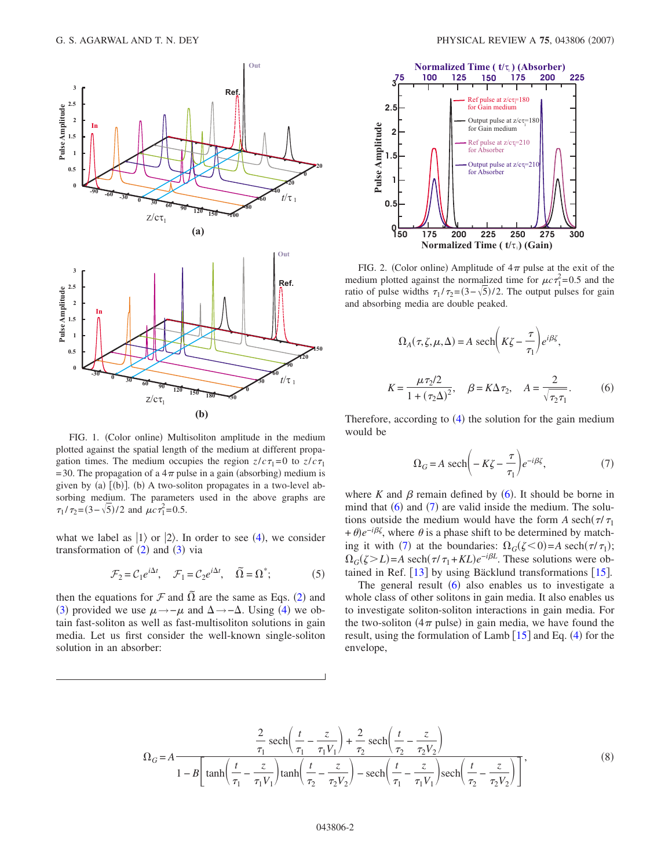<span id="page-1-2"></span>

FIG. 1. (Color online) Multisoliton amplitude in the medium plotted against the spatial length of the medium at different propagation times. The medium occupies the region  $z/c\tau_1=0$  to  $z/c\tau_1$ =30. The propagation of a  $4\pi$  pulse in a gain (absorbing) medium is given by (a) [(b)]. (b) A two-soliton propagates in a two-level absorbing medium. The parameters used in the above graphs are  $\tau_1 / \tau_2 = (3 - \sqrt{5})/2$  and  $\mu c \tau_1^2 = 0.5$ .

what we label as  $|1\rangle$  or  $|2\rangle$ . In order to see ([4](#page-0-3)), we consider transformation of  $(2)$  $(2)$  $(2)$  and  $(3)$  $(3)$  $(3)$  via

$$
\mathcal{F}_2 = C_1 e^{i\Delta t}, \quad \mathcal{F}_1 = C_2 e^{i\Delta t}, \quad \tilde{\Omega} = \Omega^*; \tag{5}
$$

then the equations for  $\mathcal F$  and  $\tilde{\Omega}$  are the same as Eqs. ([2](#page-0-1)) and ([3](#page-0-2)) provided we use  $\mu \rightarrow -\mu$  and  $\Delta \rightarrow -\Delta$ . Using ([4](#page-0-3)) we obtain fast-soliton as well as fast-multisoliton solutions in gain media. Let us first consider the well-known single-soliton solution in an absorber:

<span id="page-1-3"></span>

FIG. 2. (Color online) Amplitude of  $4\pi$  pulse at the exit of the medium plotted against the normalized time for  $\mu c \tau_1^2 = 0.5$  and the ratio of pulse widths  $\tau_1 / \tau_2 = (3 - \sqrt{5})/2$ . The output pulses for gain and absorbing media are double peaked.

<span id="page-1-0"></span>
$$
\Omega_A(\tau, \zeta, \mu, \Delta) = A \operatorname{sech}\left(K\zeta - \frac{\tau}{\tau_1}\right) e^{i\beta \zeta},
$$

$$
K = \frac{\mu \tau_2/2}{1 + (\tau_2 \Delta)^2}, \quad \beta = K\Delta \tau_2, \quad A = \frac{2}{\sqrt{\tau_2 \tau_1}}.
$$
(6)

<span id="page-1-1"></span>Therefore, according to  $(4)$  $(4)$  $(4)$  the solution for the gain medium would be

$$
\Omega_G = A \ \text{sech}\bigg(-K\zeta - \frac{\tau}{\tau_1}\bigg)e^{-i\beta\zeta},\tag{7}
$$

where  $K$  and  $\beta$  remain defined by ([6](#page-1-0)). It should be borne in mind that  $(6)$  $(6)$  $(6)$  and  $(7)$  $(7)$  $(7)$  are valid inside the medium. The solutions outside the medium would have the form *A* sech $(\tau/\tau_1)$  $+\theta$ )*e*<sup>-*i*β'</sup>, where  $\theta$  is a phase shift to be determined by match-ing it with ([7](#page-1-1)) at the boundaries:  $\Omega_G(\zeta < 0) = A \operatorname{sech}(\tau/\tau_1);$  $\Omega$ <sub>*G*</sub>( $\zeta > L$ )=*A* sech( $\tau/\tau_1$ +*KL*) $e^{-i\beta L}$ . These solutions were obtained in Ref.  $\lceil 13 \rceil$  $\lceil 13 \rceil$  $\lceil 13 \rceil$  by using Bäcklund transformations  $\lceil 15 \rceil$  $\lceil 15 \rceil$  $\lceil 15 \rceil$ .

The general result  $(6)$  $(6)$  $(6)$  also enables us to investigate a whole class of other solitons in gain media. It also enables us to investigate soliton-soliton interactions in gain media. For the two-soliton  $(4\pi$  pulse) in gain media, we have found the result, using the formulation of Lamb  $[15]$  $[15]$  $[15]$  and Eq. ([4](#page-0-3)) for the envelope,

$$
\Omega_G = A \frac{\frac{2}{\tau_1} \operatorname{sech}\left(\frac{t}{\tau_1} - \frac{z}{\tau_1 V_1}\right) + \frac{2}{\tau_2} \operatorname{sech}\left(\frac{t}{\tau_2} - \frac{z}{\tau_2 V_2}\right)}{1 - B \left[\tanh\left(\frac{t}{\tau_1} - \frac{z}{\tau_1 V_1}\right) \tanh\left(\frac{t}{\tau_2} - \frac{z}{\tau_2 V_2}\right) - \operatorname{sech}\left(\frac{t}{\tau_1} - \frac{z}{\tau_1 V_1}\right) \operatorname{sech}\left(\frac{t}{\tau_2} - \frac{z}{\tau_2 V_2}\right)\right]},
$$
\n(8)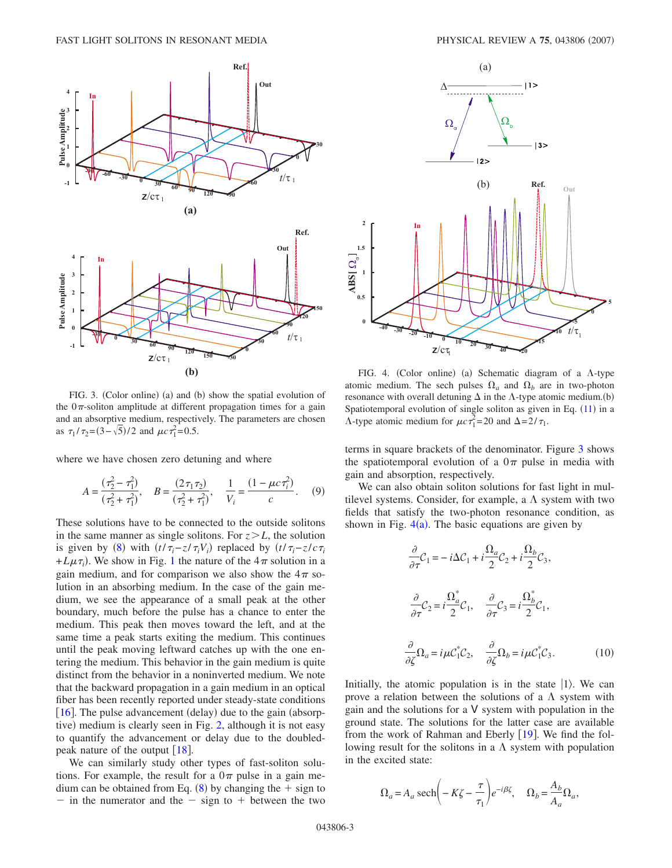<span id="page-2-0"></span>

FIG. 3. (Color online) (a) and (b) show the spatial evolution of the  $0\pi$ -soliton amplitude at different propagation times for a gain and an absorptive medium, respectively. The parameters are chosen as  $\tau_1 / \tau_2 = (3 - \sqrt{5})/2$  and  $\mu c \tau_1^2 = 0.5$ .

where we have chosen zero detuning and where

$$
A = \frac{(\tau_2^2 - \tau_1^2)}{(\tau_2^2 + \tau_1^2)}, \quad B = \frac{(2\tau_1\tau_2)}{(\tau_2^2 + \tau_1^2)}, \quad \frac{1}{V_i} = \frac{(1 - \mu c \tau_i^2)}{c}.
$$
 (9)

These solutions have to be connected to the outside solitons in the same manner as single solitons. For  $z \geq L$ , the solution is given by ([8](#page-1-0)) with  $(t/\tau_i - z/\tau_i V_i)$  replaced by  $(t/\tau_i - z/c\tau_i)$  $+L\mu\tau_i$ ). We show in Fig. [1](#page-1-2) the nature of the  $4\pi$  solution in a gain medium, and for comparison we also show the  $4\pi$  solution in an absorbing medium. In the case of the gain medium, we see the appearance of a small peak at the other boundary, much before the pulse has a chance to enter the medium. This peak then moves toward the left, and at the same time a peak starts exiting the medium. This continues until the peak moving leftward catches up with the one entering the medium. This behavior in the gain medium is quite distinct from the behavior in a noninverted medium. We note that the backward propagation in a gain medium in an optical fiber has been recently reported under steady-state conditions  $[16]$  $[16]$  $[16]$ . The pulse advancement (delay) due to the gain (absorp-tive) medium is clearly seen in Fig. [2,](#page-1-3) although it is not easy to quantify the advancement or delay due to the doubledpeak nature of the output  $[18]$  $[18]$  $[18]$ .

We can similarly study other types of fast-soliton solutions. For example, the result for a  $0\pi$  pulse in a gain medium can be obtained from Eq.  $(8)$  $(8)$  $(8)$  by changing the  $+$  sign to - in the numerator and the  $-$  sign to  $+$  between the two

<span id="page-2-1"></span>

FIG. 4. (Color online) (a) Schematic diagram of a  $\Lambda$ -type atomic medium. The sech pulses  $\Omega_a$  and  $\Omega_b$  are in two-photon resonance with overall detuning  $\Delta$  in the  $\Lambda$ -type atomic medium.(b) Spatiotemporal evolution of single soliton as given in Eq.  $(11)$  $(11)$  $(11)$  in a  $\Lambda$ -type atomic medium for  $\mu c \tau_1^2 = 20$  and  $\Delta = 2/\tau_1$ .

terms in square brackets of the denominator. Figure [3](#page-2-0) shows the spatiotemporal evolution of a  $0\pi$  pulse in media with gain and absorption, respectively.

<span id="page-2-3"></span>We can also obtain soliton solutions for fast light in multilevel systems. Consider, for example, a  $\Lambda$  system with two fields that satisfy the two-photon resonance condition, as shown in Fig.  $4(a)$  $4(a)$ . The basic equations are given by

$$
\frac{\partial}{\partial \tau} C_1 = -i\Delta C_1 + i\frac{\Omega_a}{2} C_2 + i\frac{\Omega_b}{2} C_3,
$$
  

$$
\frac{\partial}{\partial \tau} C_2 = i\frac{\Omega_a^*}{2} C_1, \quad \frac{\partial}{\partial \tau} C_3 = i\frac{\Omega_b^*}{2} C_1,
$$
  

$$
\frac{\partial}{\partial \zeta} \Omega_a = i\mu C_1^* C_2, \quad \frac{\partial}{\partial \zeta} \Omega_b = i\mu C_1^* C_3.
$$
 (10)

Initially, the atomic population is in the state  $|1\rangle$ . We can prove a relation between the solutions of a  $\Lambda$  system with gain and the solutions for a V system with population in the ground state. The solutions for the latter case are available from the work of Rahman and Eberly  $[19]$  $[19]$  $[19]$ . We find the following result for the solitons in a  $\Lambda$  system with population in the excited state:

<span id="page-2-2"></span>
$$
\Omega_a = A_a \operatorname{sech}\left(-K\zeta - \frac{\tau}{\tau_1}\right) e^{-i\beta \zeta}, \quad \Omega_b = \frac{A_b}{A_a} \Omega_a,
$$